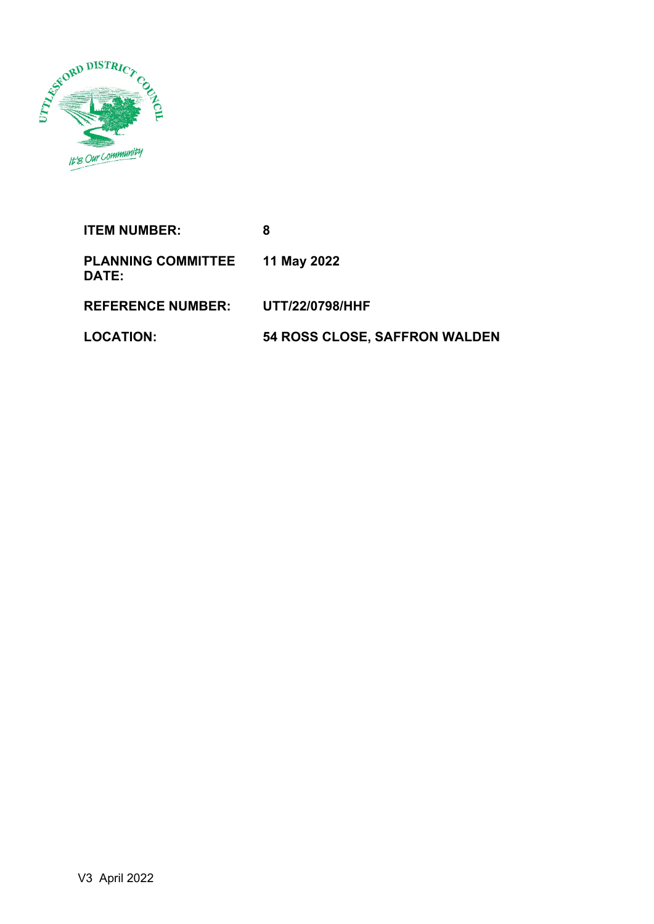

**ITEM NUMBER: 8 PLANNING COMMITTEE DATE: 11 May 2022 REFERENCE NUMBER: UTT/22/0798/HHF LOCATION: 54 ROSS CLOSE, SAFFRON WALDEN**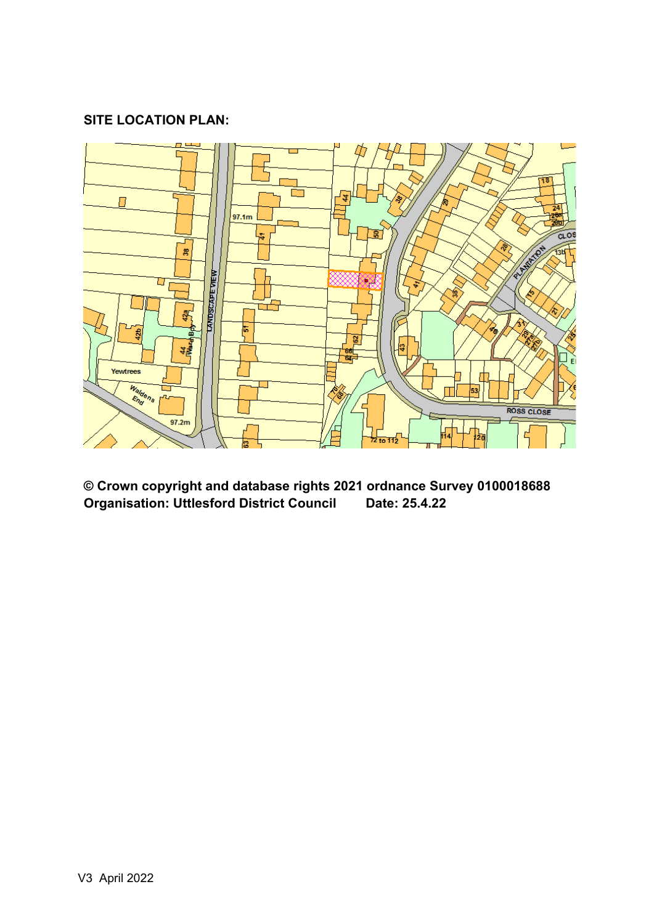# **SITE LOCATION PLAN:**



**© Crown copyright and database rights 2021 ordnance Survey 0100018688 Organisation: Uttlesford District Council Date: 25.4.22**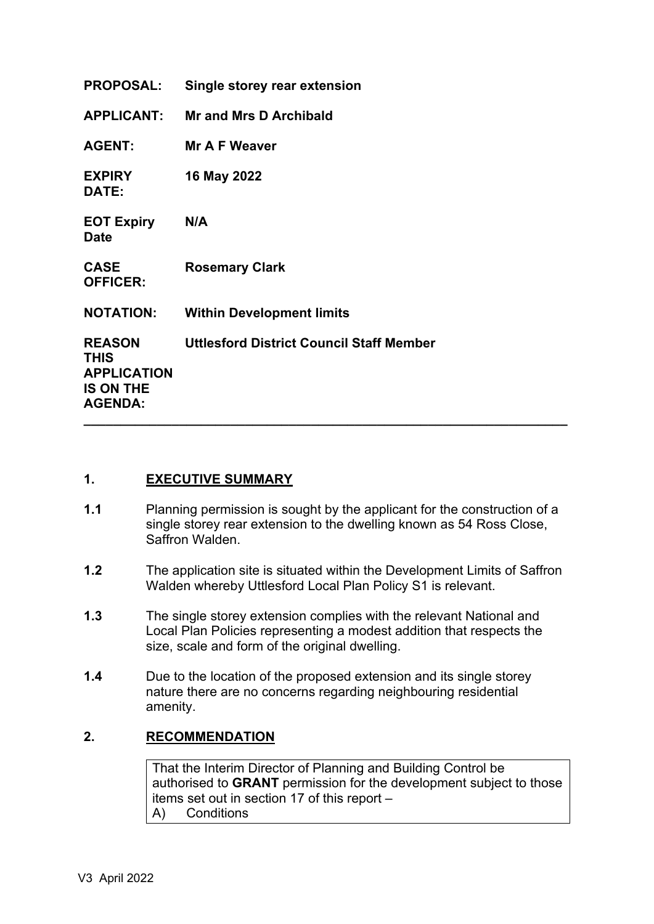| <b>PROPOSAL:</b>                                                                         | Single storey rear extension                    |
|------------------------------------------------------------------------------------------|-------------------------------------------------|
| <b>APPLICANT:</b>                                                                        | <b>Mr and Mrs D Archibald</b>                   |
| <b>AGENT:</b>                                                                            | Mr A F Weaver                                   |
| <b>EXPIRY</b><br>DATE:                                                                   | 16 May 2022                                     |
| <b>EOT Expiry</b><br><b>Date</b>                                                         | N/A                                             |
| <b>CASE</b><br><b>OFFICER:</b>                                                           | <b>Rosemary Clark</b>                           |
| <b>NOTATION:</b>                                                                         | <b>Within Development limits</b>                |
| <b>REASON</b><br><b>THIS</b><br><b>APPLICATION</b><br><b>IS ON THE</b><br><b>AGENDA:</b> | <b>Uttlesford District Council Staff Member</b> |

#### **1. EXECUTIVE SUMMARY**

- **1.1** Planning permission is sought by the applicant for the construction of a single storey rear extension to the dwelling known as 54 Ross Close, Saffron Walden.
- **1.2** The application site is situated within the Development Limits of Saffron Walden whereby Uttlesford Local Plan Policy S1 is relevant.
- **1.3** The single storey extension complies with the relevant National and Local Plan Policies representing a modest addition that respects the size, scale and form of the original dwelling.
- **1.4** Due to the location of the proposed extension and its single storey nature there are no concerns regarding neighbouring residential amenity.

#### **2. RECOMMENDATION**

That the Interim Director of Planning and Building Control be authorised to **GRANT** permission for the development subject to those items set out in section 17 of this report – A) Conditions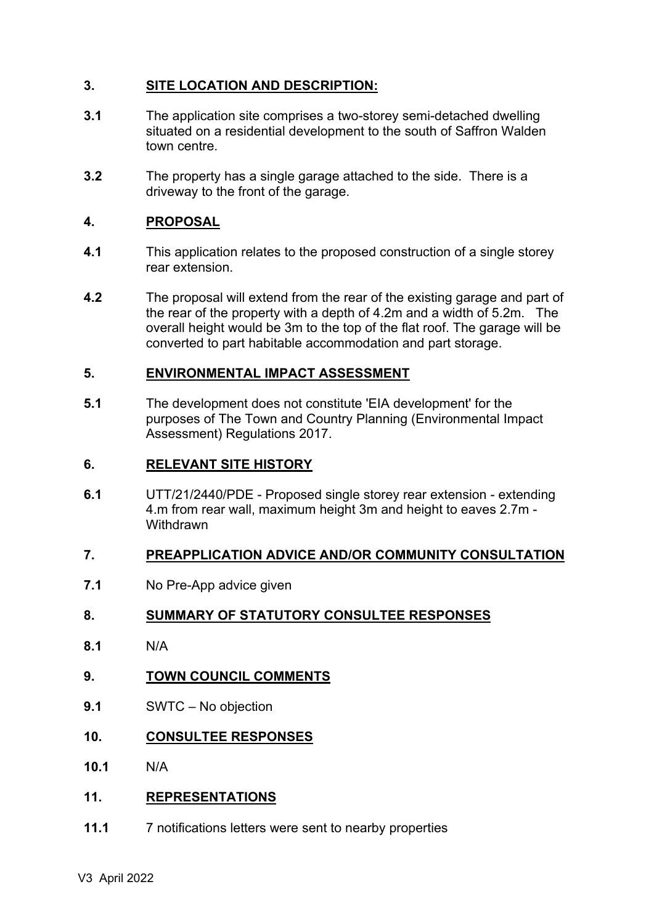### **3. SITE LOCATION AND DESCRIPTION:**

- **3.1** The application site comprises a two-storey semi-detached dwelling situated on a residential development to the south of Saffron Walden town centre.
- **3.2** The property has a single garage attached to the side. There is a driveway to the front of the garage.

### **4. PROPOSAL**

- **4.1** This application relates to the proposed construction of a single storey rear extension.
- **4.2** The proposal will extend from the rear of the existing garage and part of the rear of the property with a depth of 4.2m and a width of 5.2m. The overall height would be 3m to the top of the flat roof. The garage will be converted to part habitable accommodation and part storage.

#### **5. ENVIRONMENTAL IMPACT ASSESSMENT**

**5.1** The development does not constitute 'EIA development' for the purposes of The Town and Country Planning (Environmental Impact Assessment) Regulations 2017.

#### **6. RELEVANT SITE HISTORY**

**6.1** UTT/21/2440/PDE - Proposed single storey rear extension - extending 4.m from rear wall, maximum height 3m and height to eaves 2.7m - **Withdrawn** 

#### **7. PREAPPLICATION ADVICE AND/OR COMMUNITY CONSULTATION**

**7.1** No Pre-App advice given

#### **8. SUMMARY OF STATUTORY CONSULTEE RESPONSES**

- **8.1** N/A
- **9. TOWN COUNCIL COMMENTS**
- **9.1** SWTC No objection
- **10. CONSULTEE RESPONSES**
- **10.1** N/A

# **11. REPRESENTATIONS**

**11.1** 7 notifications letters were sent to nearby properties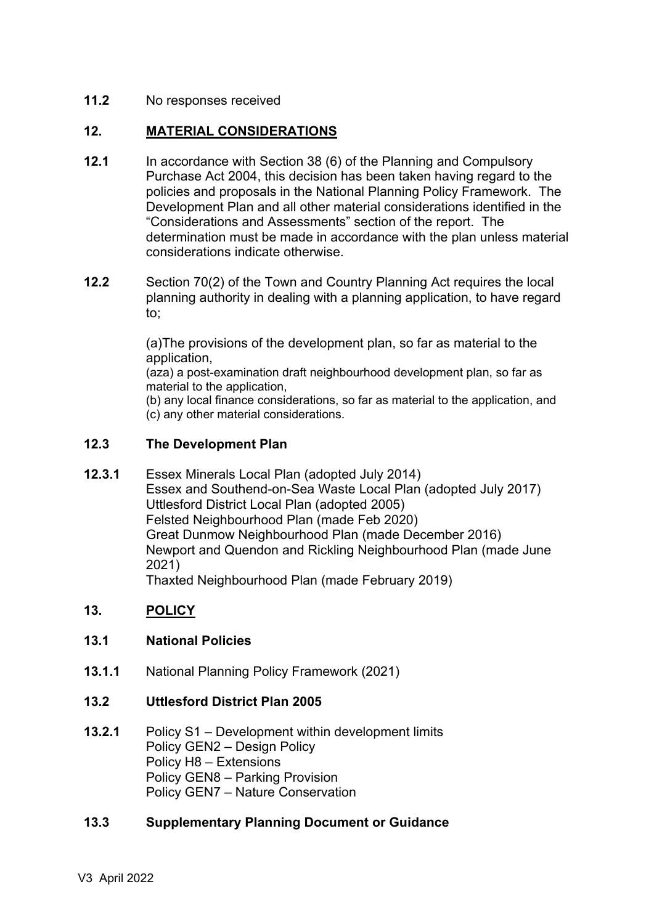### **11.2** No responses received

### **12. MATERIAL CONSIDERATIONS**

- **12.1** In accordance with Section 38 (6) of the Planning and Compulsory Purchase Act 2004, this decision has been taken having regard to the policies and proposals in the National Planning Policy Framework. The Development Plan and all other material considerations identified in the "Considerations and Assessments" section of the report. The determination must be made in accordance with the plan unless material considerations indicate otherwise.
- **12.2** Section 70(2) of the Town and Country Planning Act requires the local planning authority in dealing with a planning application, to have regard to;

(a)The provisions of the development plan, so far as material to the application,

(aza) a post-examination draft neighbourhood development plan, so far as material to the application,

(b) any local finance considerations, so far as material to the application, and (c) any other material considerations.

#### **12.3 The Development Plan**

**12.3.1** Essex Minerals Local Plan (adopted July 2014) Essex and Southend-on-Sea Waste Local Plan (adopted July 2017) Uttlesford District Local Plan (adopted 2005) Felsted Neighbourhood Plan (made Feb 2020) Great Dunmow Neighbourhood Plan (made December 2016) Newport and Quendon and Rickling Neighbourhood Plan (made June 2021) Thaxted Neighbourhood Plan (made February 2019)

#### **13. POLICY**

#### **13.1 National Policies**

**13.1.1** National Planning Policy Framework (2021)

#### **13.2 Uttlesford District Plan 2005**

**13.2.1** Policy S1 – Development within development limits Policy GEN2 – Design Policy Policy H8 – Extensions Policy GEN8 – Parking Provision Policy GEN7 – Nature Conservation

#### **13.3 Supplementary Planning Document or Guidance**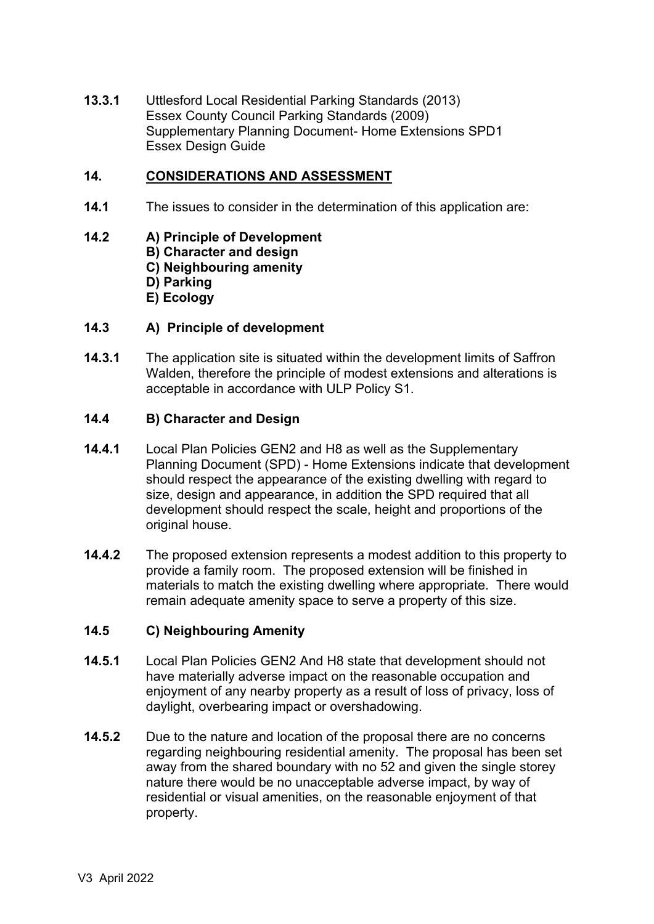**13.3.1** Uttlesford Local Residential Parking Standards (2013) Essex County Council Parking Standards (2009) Supplementary Planning Document- Home Extensions SPD1 Essex Design Guide

### **14. CONSIDERATIONS AND ASSESSMENT**

**14.1** The issues to consider in the determination of this application are:

#### **14.2 A) Principle of Development**

- **B) Character and design**
	- **C) Neighbouring amenity**
	- **D) Parking**
	- **E) Ecology**

#### **14.3 A) Principle of development**

**14.3.1** The application site is situated within the development limits of Saffron Walden, therefore the principle of modest extensions and alterations is acceptable in accordance with ULP Policy S1.

#### **14.4 B) Character and Design**

- **14.4.1** Local Plan Policies GEN2 and H8 as well as the Supplementary Planning Document (SPD) - Home Extensions indicate that development should respect the appearance of the existing dwelling with regard to size, design and appearance, in addition the SPD required that all development should respect the scale, height and proportions of the original house.
- **14.4.2** The proposed extension represents a modest addition to this property to provide a family room. The proposed extension will be finished in materials to match the existing dwelling where appropriate. There would remain adequate amenity space to serve a property of this size.

# **14.5 C) Neighbouring Amenity**

- **14.5.1** Local Plan Policies GEN2 And H8 state that development should not have materially adverse impact on the reasonable occupation and enjoyment of any nearby property as a result of loss of privacy, loss of daylight, overbearing impact or overshadowing.
- **14.5.2** Due to the nature and location of the proposal there are no concerns regarding neighbouring residential amenity. The proposal has been set away from the shared boundary with no 52 and given the single storey nature there would be no unacceptable adverse impact, by way of residential or visual amenities, on the reasonable enjoyment of that property.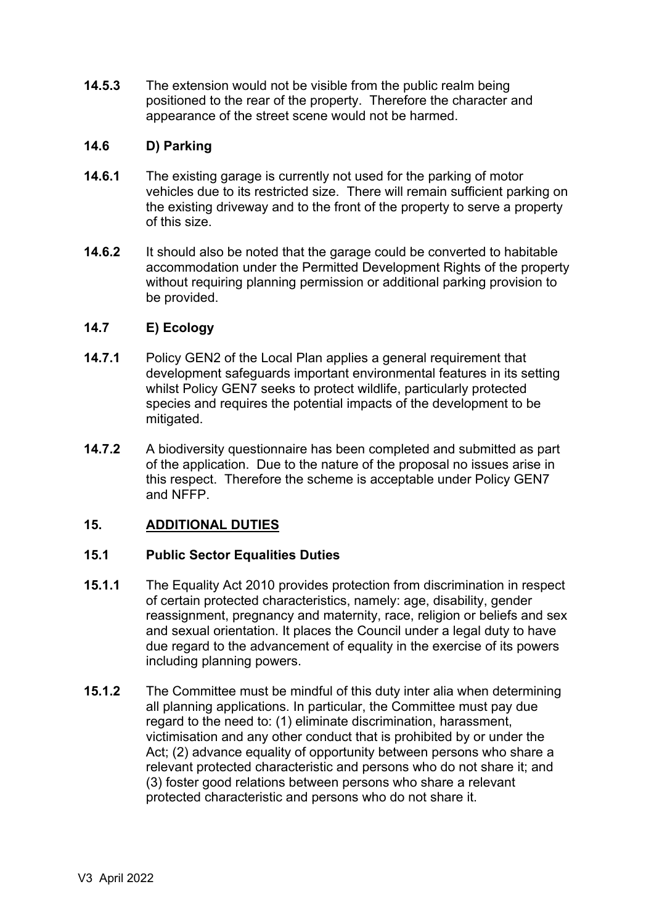**14.5.3** The extension would not be visible from the public realm being positioned to the rear of the property. Therefore the character and appearance of the street scene would not be harmed.

#### **14.6 D) Parking**

- **14.6.1** The existing garage is currently not used for the parking of motor vehicles due to its restricted size. There will remain sufficient parking on the existing driveway and to the front of the property to serve a property of this size.
- **14.6.2** It should also be noted that the garage could be converted to habitable accommodation under the Permitted Development Rights of the property without requiring planning permission or additional parking provision to be provided.

### **14.7 E) Ecology**

- **14.7.1** Policy GEN2 of the Local Plan applies a general requirement that development safeguards important environmental features in its setting whilst Policy GEN7 seeks to protect wildlife, particularly protected species and requires the potential impacts of the development to be mitigated.
- **14.7.2** A biodiversity questionnaire has been completed and submitted as part of the application. Due to the nature of the proposal no issues arise in this respect. Therefore the scheme is acceptable under Policy GEN7 and NFFP.

# **15. ADDITIONAL DUTIES**

#### **15.1 Public Sector Equalities Duties**

- **15.1.1** The Equality Act 2010 provides protection from discrimination in respect of certain protected characteristics, namely: age, disability, gender reassignment, pregnancy and maternity, race, religion or beliefs and sex and sexual orientation. It places the Council under a legal duty to have due regard to the advancement of equality in the exercise of its powers including planning powers.
- **15.1.2** The Committee must be mindful of this duty inter alia when determining all planning applications. In particular, the Committee must pay due regard to the need to: (1) eliminate discrimination, harassment, victimisation and any other conduct that is prohibited by or under the Act; (2) advance equality of opportunity between persons who share a relevant protected characteristic and persons who do not share it; and (3) foster good relations between persons who share a relevant protected characteristic and persons who do not share it.